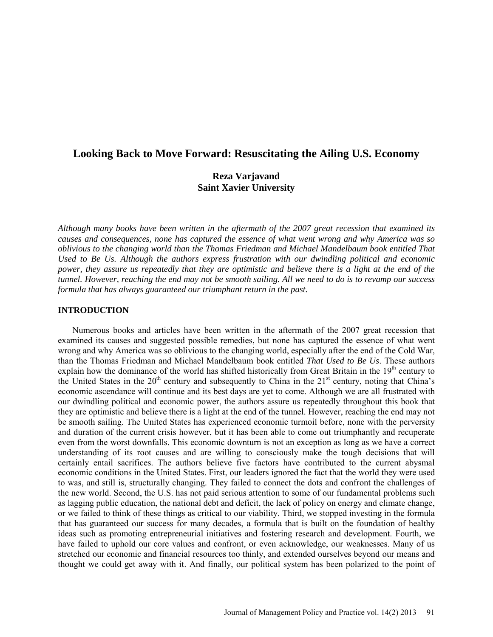# **Looking Back to Move Forward: Resuscitating the Ailing U.S. Economy**

# **Reza Varjavand Saint Xavier University**

*Although many books have been written in the aftermath of the 2007 great recession that examined its causes and consequences, none has captured the essence of what went wrong and why America was so oblivious to the changing world than the Thomas Friedman and Michael Mandelbaum book entitled That Used to Be Us. Although the authors express frustration with our dwindling political and economic power, they assure us repeatedly that they are optimistic and believe there is a light at the end of the tunnel. However, reaching the end may not be smooth sailing. All we need to do is to revamp our success formula that has always guaranteed our triumphant return in the past.* 

# **INTRODUCTION**

Numerous books and articles have been written in the aftermath of the 2007 great recession that examined its causes and suggested possible remedies, but none has captured the essence of what went wrong and why America was so oblivious to the changing world, especially after the end of the Cold War, than the Thomas Friedman and Michael Mandelbaum book entitled *That Used to Be Us*. These authors explain how the dominance of the world has shifted historically from Great Britain in the  $19<sup>th</sup>$  century to the United States in the  $20<sup>th</sup>$  century and subsequently to China in the  $21<sup>st</sup>$  century, noting that China's economic ascendance will continue and its best days are yet to come. Although we are all frustrated with our dwindling political and economic power, the authors assure us repeatedly throughout this book that they are optimistic and believe there is a light at the end of the tunnel. However, reaching the end may not be smooth sailing. The United States has experienced economic turmoil before, none with the perversity and duration of the current crisis however, but it has been able to come out triumphantly and recuperate even from the worst downfalls. This economic downturn is not an exception as long as we have a correct understanding of its root causes and are willing to consciously make the tough decisions that will certainly entail sacrifices. The authors believe five factors have contributed to the current abysmal economic conditions in the United States. First, our leaders ignored the fact that the world they were used to was, and still is, structurally changing. They failed to connect the dots and confront the challenges of the new world. Second, the U.S. has not paid serious attention to some of our fundamental problems such as lagging public education, the national debt and deficit, the lack of policy on energy and climate change, or we failed to think of these things as critical to our viability. Third, we stopped investing in the formula that has guaranteed our success for many decades, a formula that is built on the foundation of healthy ideas such as promoting entrepreneurial initiatives and fostering research and development. Fourth, we have failed to uphold our core values and confront, or even acknowledge, our weaknesses. Many of us stretched our economic and financial resources too thinly, and extended ourselves beyond our means and thought we could get away with it. And finally, our political system has been polarized to the point of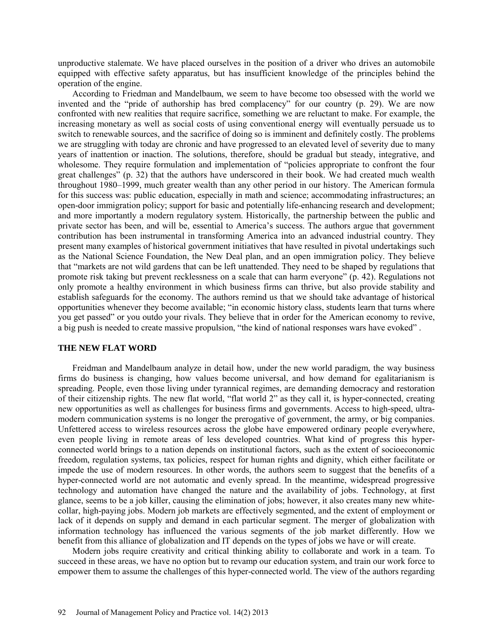unproductive stalemate. We have placed ourselves in the position of a driver who drives an automobile equipped with effective safety apparatus, but has insufficient knowledge of the principles behind the operation of the engine.

According to Friedman and Mandelbaum, we seem to have become too obsessed with the world we invented and the "pride of authorship has bred complacency" for our country (p. 29). We are now confronted with new realities that require sacrifice, something we are reluctant to make. For example, the increasing monetary as well as social costs of using conventional energy will eventually persuade us to switch to renewable sources, and the sacrifice of doing so is imminent and definitely costly. The problems we are struggling with today are chronic and have progressed to an elevated level of severity due to many years of inattention or inaction. The solutions, therefore, should be gradual but steady, integrative, and wholesome. They require formulation and implementation of "policies appropriate to confront the four great challenges" (p. 32) that the authors have underscored in their book. We had created much wealth throughout 1980–1999, much greater wealth than any other period in our history. The American formula for this success was: public education, especially in math and science; accommodating infrastructures; an open-door immigration policy; support for basic and potentially life-enhancing research and development; and more importantly a modern regulatory system. Historically, the partnership between the public and private sector has been, and will be, essential to America's success. The authors argue that government contribution has been instrumental in transforming America into an advanced industrial country. They present many examples of historical government initiatives that have resulted in pivotal undertakings such as the National Science Foundation, the New Deal plan, and an open immigration policy. They believe that "markets are not wild gardens that can be left unattended. They need to be shaped by regulations that promote risk taking but prevent recklessness on a scale that can harm everyone" (p. 42). Regulations not only promote a healthy environment in which business firms can thrive, but also provide stability and establish safeguards for the economy. The authors remind us that we should take advantage of historical opportunities whenever they become available; "in economic history class, students learn that turns where you get passed" or you outdo your rivals. They believe that in order for the American economy to revive, a big push is needed to create massive propulsion, "the kind of national responses wars have evoked" .

#### **THE NEW FLAT WORD**

Freidman and Mandelbaum analyze in detail how, under the new world paradigm, the way business firms do business is changing, how values become universal, and how demand for egalitarianism is spreading. People, even those living under tyrannical regimes, are demanding democracy and restoration of their citizenship rights. The new flat world, "flat world 2" as they call it, is hyper-connected, creating new opportunities as well as challenges for business firms and governments. Access to high-speed, ultramodern communication systems is no longer the prerogative of government, the army, or big companies. Unfettered access to wireless resources across the globe have empowered ordinary people everywhere, even people living in remote areas of less developed countries. What kind of progress this hyperconnected world brings to a nation depends on institutional factors, such as the extent of socioeconomic freedom, regulation systems, tax policies, respect for human rights and dignity, which either facilitate or impede the use of modern resources. In other words, the authors seem to suggest that the benefits of a hyper-connected world are not automatic and evenly spread. In the meantime, widespread progressive technology and automation have changed the nature and the availability of jobs. Technology, at first glance, seems to be a job killer, causing the elimination of jobs; however, it also creates many new whitecollar, high-paying jobs. Modern job markets are effectively segmented, and the extent of employment or lack of it depends on supply and demand in each particular segment. The merger of globalization with information technology has influenced the various segments of the job market differently. How we benefit from this alliance of globalization and IT depends on the types of jobs we have or will create.

Modern jobs require creativity and critical thinking ability to collaborate and work in a team. To succeed in these areas, we have no option but to revamp our education system, and train our work force to empower them to assume the challenges of this hyper-connected world. The view of the authors regarding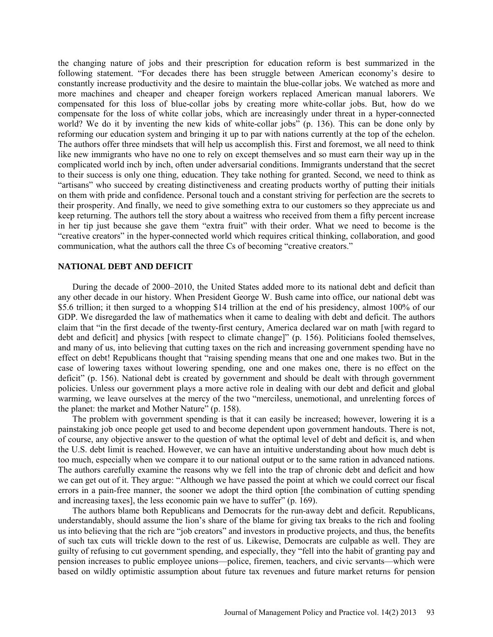the changing nature of jobs and their prescription for education reform is best summarized in the following statement. "For decades there has been struggle between American economy's desire to constantly increase productivity and the desire to maintain the blue-collar jobs. We watched as more and more machines and cheaper and cheaper foreign workers replaced American manual laborers. We compensated for this loss of blue-collar jobs by creating more white-collar jobs. But, how do we compensate for the loss of white collar jobs, which are increasingly under threat in a hyper-connected world? We do it by inventing the new kids of white-collar jobs" (p. 136). This can be done only by reforming our education system and bringing it up to par with nations currently at the top of the echelon. The authors offer three mindsets that will help us accomplish this. First and foremost, we all need to think like new immigrants who have no one to rely on except themselves and so must earn their way up in the complicated world inch by inch, often under adversarial conditions. Immigrants understand that the secret to their success is only one thing, education. They take nothing for granted. Second, we need to think as "artisans" who succeed by creating distinctiveness and creating products worthy of putting their initials on them with pride and confidence. Personal touch and a constant striving for perfection are the secrets to their prosperity. And finally, we need to give something extra to our customers so they appreciate us and keep returning. The authors tell the story about a waitress who received from them a fifty percent increase in her tip just because she gave them "extra fruit" with their order. What we need to become is the "creative creators" in the hyper-connected world which requires critical thinking, collaboration, and good communication, what the authors call the three Cs of becoming "creative creators."

### **NATIONAL DEBT AND DEFICIT**

During the decade of 2000–2010, the United States added more to its national debt and deficit than any other decade in our history. When President George W. Bush came into office, our national debt was \$5.6 trillion; it then surged to a whopping \$14 trillion at the end of his presidency, almost 100% of our GDP. We disregarded the law of mathematics when it came to dealing with debt and deficit. The authors claim that "in the first decade of the twenty-first century, America declared war on math [with regard to debt and deficit] and physics [with respect to climate change]" (p. 156). Politicians fooled themselves, and many of us, into believing that cutting taxes on the rich and increasing government spending have no effect on debt! Republicans thought that "raising spending means that one and one makes two. But in the case of lowering taxes without lowering spending, one and one makes one, there is no effect on the deficit" (p. 156). National debt is created by government and should be dealt with through government policies. Unless our government plays a more active role in dealing with our debt and deficit and global warming, we leave ourselves at the mercy of the two "merciless, unemotional, and unrelenting forces of the planet: the market and Mother Nature" (p. 158).

The problem with government spending is that it can easily be increased; however, lowering it is a painstaking job once people get used to and become dependent upon government handouts. There is not, of course, any objective answer to the question of what the optimal level of debt and deficit is, and when the U.S. debt limit is reached. However, we can have an intuitive understanding about how much debt is too much, especially when we compare it to our national output or to the same ration in advanced nations. The authors carefully examine the reasons why we fell into the trap of chronic debt and deficit and how we can get out of it. They argue: "Although we have passed the point at which we could correct our fiscal errors in a pain-free manner, the sooner we adopt the third option [the combination of cutting spending and increasing taxes], the less economic pain we have to suffer" (p. 169).

The authors blame both Republicans and Democrats for the run-away debt and deficit. Republicans, understandably, should assume the lion's share of the blame for giving tax breaks to the rich and fooling us into believing that the rich are "job creators" and investors in productive projects, and thus, the benefits of such tax cuts will trickle down to the rest of us. Likewise, Democrats are culpable as well. They are guilty of refusing to cut government spending, and especially, they "fell into the habit of granting pay and pension increases to public employee unions—police, firemen, teachers, and civic servants—which were based on wildly optimistic assumption about future tax revenues and future market returns for pension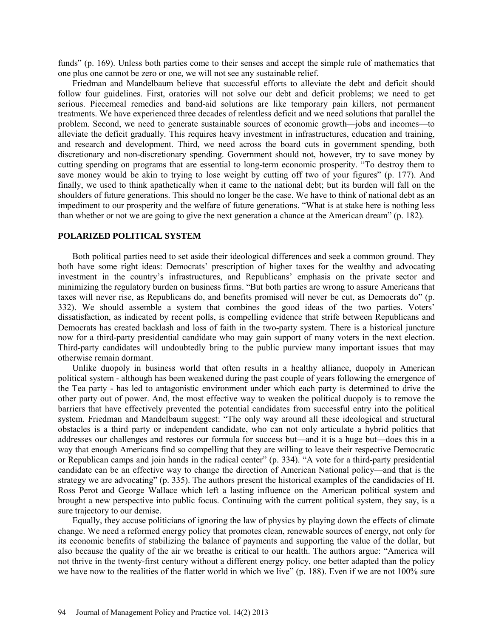funds" (p. 169). Unless both parties come to their senses and accept the simple rule of mathematics that one plus one cannot be zero or one, we will not see any sustainable relief.

Friedman and Mandelbaum believe that successful efforts to alleviate the debt and deficit should follow four guidelines. First, oratories will not solve our debt and deficit problems; we need to get serious. Piecemeal remedies and band-aid solutions are like temporary pain killers, not permanent treatments. We have experienced three decades of relentless deficit and we need solutions that parallel the problem. Second, we need to generate sustainable sources of economic growth—jobs and incomes—to alleviate the deficit gradually. This requires heavy investment in infrastructures, education and training, and research and development. Third, we need across the board cuts in government spending, both discretionary and non-discretionary spending. Government should not, however, try to save money by cutting spending on programs that are essential to long-term economic prosperity. "To destroy them to save money would be akin to trying to lose weight by cutting off two of your figures" (p. 177). And finally, we used to think apathetically when it came to the national debt; but its burden will fall on the shoulders of future generations. This should no longer be the case. We have to think of national debt as an impediment to our prosperity and the welfare of future generations. "What is at stake here is nothing less than whether or not we are going to give the next generation a chance at the American dream" (p. 182).

# **POLARIZED POLITICAL SYSTEM**

Both political parties need to set aside their ideological differences and seek a common ground. They both have some right ideas: Democrats' prescription of higher taxes for the wealthy and advocating investment in the country's infrastructures, and Republicans' emphasis on the private sector and minimizing the regulatory burden on business firms. "But both parties are wrong to assure Americans that taxes will never rise, as Republicans do, and benefits promised will never be cut, as Democrats do" (p. 332). We should assemble a system that combines the good ideas of the two parties. Voters' dissatisfaction, as indicated by recent polls, is compelling evidence that strife between Republicans and Democrats has created backlash and loss of faith in the two-party system. There is a historical juncture now for a third-party presidential candidate who may gain support of many voters in the next election. Third-party candidates will undoubtedly bring to the public purview many important issues that may otherwise remain dormant.

Unlike duopoly in business world that often results in a healthy alliance, duopoly in American political system - although has been weakened during the past couple of years following the emergence of the Tea party - has led to antagonistic environment under which each party is determined to drive the other party out of power. And, the most effective way to weaken the political duopoly is to remove the barriers that have effectively prevented the potential candidates from successful entry into the political system. Friedman and Mandelbaum suggest: "The only way around all these ideological and structural obstacles is a third party or independent candidate, who can not only articulate a hybrid politics that addresses our challenges and restores our formula for success but—and it is a huge but—does this in a way that enough Americans find so compelling that they are willing to leave their respective Democratic or Republican camps and join hands in the radical center" (p. 334). "A vote for a third-party presidential candidate can be an effective way to change the direction of American National policy—and that is the strategy we are advocating" (p. 335). The authors present the historical examples of the candidacies of H. Ross Perot and George Wallace which left a lasting influence on the American political system and brought a new perspective into public focus. Continuing with the current political system, they say, is a sure trajectory to our demise.

Equally, they accuse politicians of ignoring the law of physics by playing down the effects of climate change. We need a reformed energy policy that promotes clean, renewable sources of energy, not only for its economic benefits of stabilizing the balance of payments and supporting the value of the dollar, but also because the quality of the air we breathe is critical to our health. The authors argue: "America will not thrive in the twenty-first century without a different energy policy, one better adapted than the policy we have now to the realities of the flatter world in which we live" (p. 188). Even if we are not 100% sure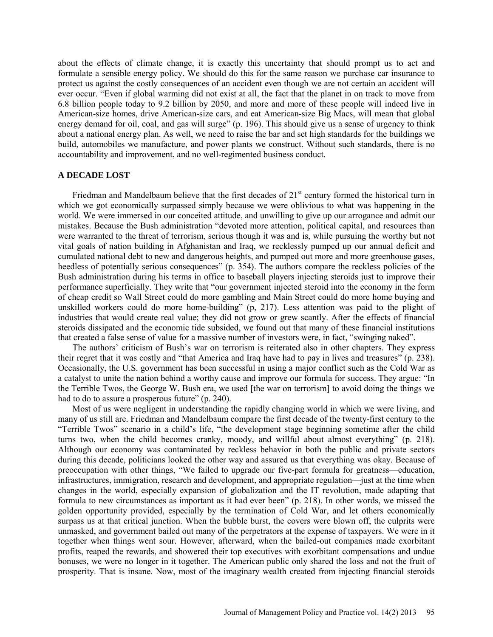about the effects of climate change, it is exactly this uncertainty that should prompt us to act and formulate a sensible energy policy. We should do this for the same reason we purchase car insurance to protect us against the costly consequences of an accident even though we are not certain an accident will ever occur. "Even if global warming did not exist at all, the fact that the planet in on track to move from 6.8 billion people today to 9.2 billion by 2050, and more and more of these people will indeed live in American-size homes, drive American-size cars, and eat American-size Big Macs, will mean that global energy demand for oil, coal, and gas will surge" (p. 196). This should give us a sense of urgency to think about a national energy plan. As well, we need to raise the bar and set high standards for the buildings we build, automobiles we manufacture, and power plants we construct. Without such standards, there is no accountability and improvement, and no well-regimented business conduct.

#### **A DECADE LOST**

Friedman and Mandelbaum believe that the first decades of  $21<sup>st</sup>$  century formed the historical turn in which we got economically surpassed simply because we were oblivious to what was happening in the world. We were immersed in our conceited attitude, and unwilling to give up our arrogance and admit our mistakes. Because the Bush administration "devoted more attention, political capital, and resources than were warranted to the threat of terrorism, serious though it was and is, while pursuing the worthy but not vital goals of nation building in Afghanistan and Iraq, we recklessly pumped up our annual deficit and cumulated national debt to new and dangerous heights, and pumped out more and more greenhouse gases, heedless of potentially serious consequences" (p. 354). The authors compare the reckless policies of the Bush administration during his terms in office to baseball players injecting steroids just to improve their performance superficially. They write that "our government injected steroid into the economy in the form of cheap credit so Wall Street could do more gambling and Main Street could do more home buying and unskilled workers could do more home-building" (p, 217). Less attention was paid to the plight of industries that would create real value; they did not grow or grew scantly. After the effects of financial steroids dissipated and the economic tide subsided, we found out that many of these financial institutions that created a false sense of value for a massive number of investors were, in fact, "swinging naked".

The authors' criticism of Bush's war on terrorism is reiterated also in other chapters. They express their regret that it was costly and "that America and Iraq have had to pay in lives and treasures" (p. 238). Occasionally, the U.S. government has been successful in using a major conflict such as the Cold War as a catalyst to unite the nation behind a worthy cause and improve our formula for success. They argue: "In the Terrible Twos, the George W. Bush era, we used [the war on terrorism] to avoid doing the things we had to do to assure a prosperous future" (p. 240).

Most of us were negligent in understanding the rapidly changing world in which we were living, and many of us still are. Friedman and Mandelbaum compare the first decade of the twenty-first century to the "Terrible Twos" scenario in a child's life, "the development stage beginning sometime after the child turns two, when the child becomes cranky, moody, and willful about almost everything" (p. 218). Although our economy was contaminated by reckless behavior in both the public and private sectors during this decade, politicians looked the other way and assured us that everything was okay. Because of preoccupation with other things, "We failed to upgrade our five-part formula for greatness—education, infrastructures, immigration, research and development, and appropriate regulation—just at the time when changes in the world, especially expansion of globalization and the IT revolution, made adapting that formula to new circumstances as important as it had ever been" (p. 218). In other words, we missed the golden opportunity provided, especially by the termination of Cold War, and let others economically surpass us at that critical junction. When the bubble burst, the covers were blown off, the culprits were unmasked, and government bailed out many of the perpetrators at the expense of taxpayers. We were in it together when things went sour. However, afterward, when the bailed-out companies made exorbitant profits, reaped the rewards, and showered their top executives with exorbitant compensations and undue bonuses, we were no longer in it together. The American public only shared the loss and not the fruit of prosperity. That is insane. Now, most of the imaginary wealth created from injecting financial steroids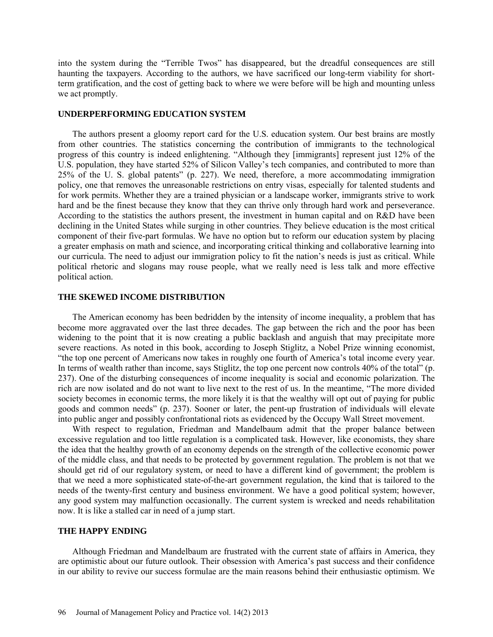into the system during the "Terrible Twos" has disappeared, but the dreadful consequences are still haunting the taxpayers. According to the authors, we have sacrificed our long-term viability for shortterm gratification, and the cost of getting back to where we were before will be high and mounting unless we act promptly.

### **UNDERPERFORMING EDUCATION SYSTEM**

The authors present a gloomy report card for the U.S. education system. Our best brains are mostly from other countries. The statistics concerning the contribution of immigrants to the technological progress of this country is indeed enlightening. "Although they [immigrants] represent just 12% of the U.S. population, they have started 52% of Silicon Valley's tech companies, and contributed to more than 25% of the U. S. global patents" (p. 227). We need, therefore, a more accommodating immigration policy, one that removes the unreasonable restrictions on entry visas, especially for talented students and for work permits. Whether they are a trained physician or a landscape worker, immigrants strive to work hard and be the finest because they know that they can thrive only through hard work and perseverance. According to the statistics the authors present, the investment in human capital and on R&D have been declining in the United States while surging in other countries. They believe education is the most critical component of their five-part formulas. We have no option but to reform our education system by placing a greater emphasis on math and science, and incorporating critical thinking and collaborative learning into our curricula. The need to adjust our immigration policy to fit the nation's needs is just as critical. While political rhetoric and slogans may rouse people, what we really need is less talk and more effective political action.

# **THE SKEWED INCOME DISTRIBUTION**

The American economy has been bedridden by the intensity of income inequality, a problem that has become more aggravated over the last three decades. The gap between the rich and the poor has been widening to the point that it is now creating a public backlash and anguish that may precipitate more severe reactions. As noted in this book, according to Joseph Stiglitz, a Nobel Prize winning economist, "the top one percent of Americans now takes in roughly one fourth of America's total income every year. In terms of wealth rather than income, says Stiglitz, the top one percent now controls 40% of the total" (p. 237). One of the disturbing consequences of income inequality is social and economic polarization. The rich are now isolated and do not want to live next to the rest of us. In the meantime, "The more divided society becomes in economic terms, the more likely it is that the wealthy will opt out of paying for public goods and common needs" (p. 237). Sooner or later, the pent-up frustration of individuals will elevate into public anger and possibly confrontational riots as evidenced by the Occupy Wall Street movement.

With respect to regulation, Friedman and Mandelbaum admit that the proper balance between excessive regulation and too little regulation is a complicated task. However, like economists, they share the idea that the healthy growth of an economy depends on the strength of the collective economic power of the middle class, and that needs to be protected by government regulation. The problem is not that we should get rid of our regulatory system, or need to have a different kind of government; the problem is that we need a more sophisticated state-of-the-art government regulation, the kind that is tailored to the needs of the twenty-first century and business environment. We have a good political system; however, any good system may malfunction occasionally. The current system is wrecked and needs rehabilitation now. It is like a stalled car in need of a jump start.

#### **THE HAPPY ENDING**

Although Friedman and Mandelbaum are frustrated with the current state of affairs in America, they are optimistic about our future outlook. Their obsession with America's past success and their confidence in our ability to revive our success formulae are the main reasons behind their enthusiastic optimism. We